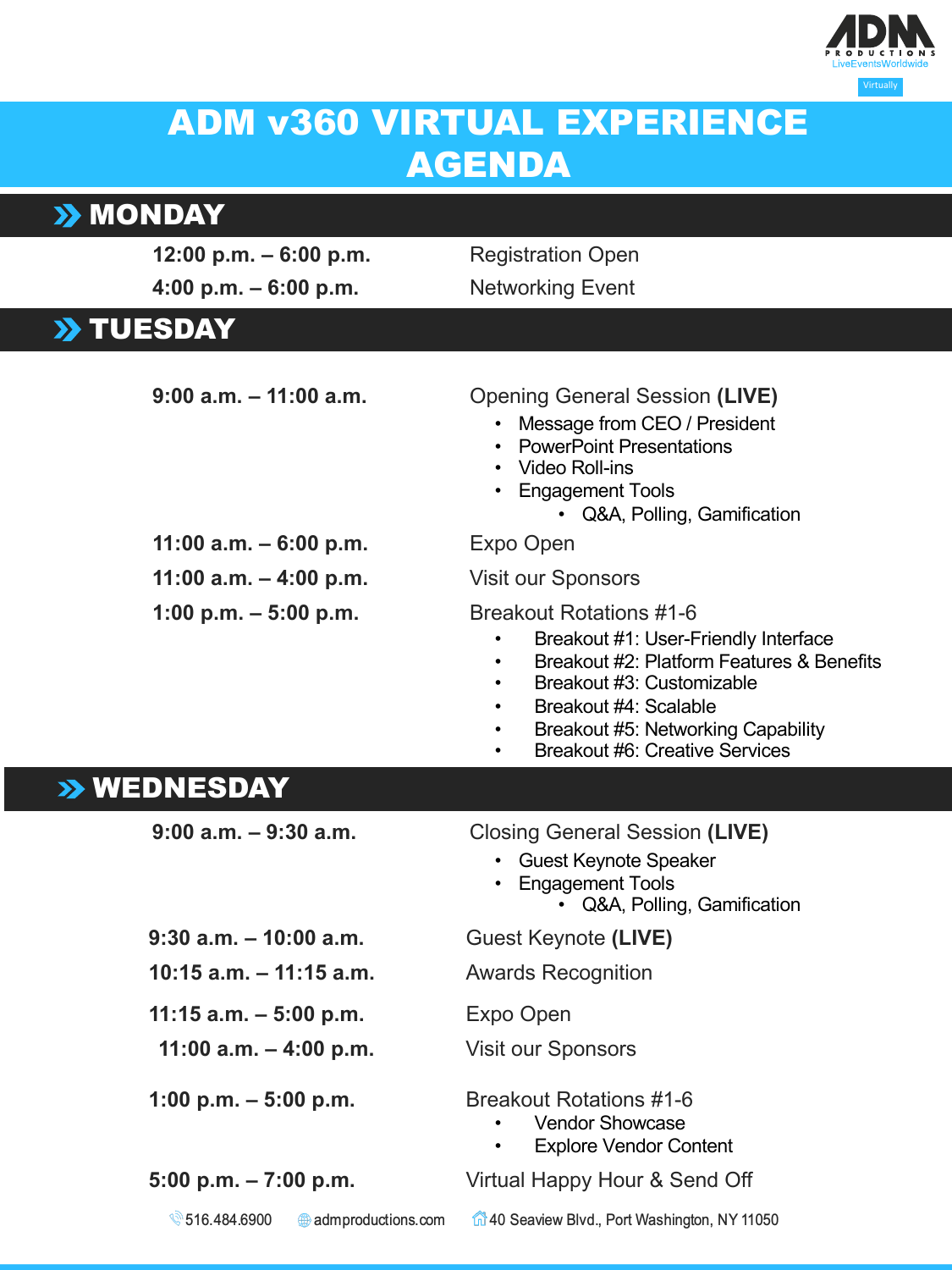

## ADM v360 VIRTUAL EXPERIENCE AGENDA

## **>> MONDAY**

| 12:00 p.m. $-6:00$ p.m.    | <b>Registration Open</b>                                                                                                                                                                                                                                                         |
|----------------------------|----------------------------------------------------------------------------------------------------------------------------------------------------------------------------------------------------------------------------------------------------------------------------------|
| 4:00 p.m. $-6:00$ p.m.     | <b>Networking Event</b>                                                                                                                                                                                                                                                          |
| >> TUESDAY                 |                                                                                                                                                                                                                                                                                  |
|                            |                                                                                                                                                                                                                                                                                  |
| $9:00$ a.m. $-11:00$ a.m.  | <b>Opening General Session (LIVE)</b><br>• Message from CEO / President<br>• PowerPoint Presentations<br>• Video Roll-ins<br>• Engagement Tools<br>• Q&A, Polling, Gamification                                                                                                  |
| 11:00 a.m. $-6:00$ p.m.    | Expo Open                                                                                                                                                                                                                                                                        |
| 11:00 a.m. $-$ 4:00 p.m.   | <b>Visit our Sponsors</b>                                                                                                                                                                                                                                                        |
| 1:00 p.m. $-$ 5:00 p.m.    | <b>Breakout Rotations #1-6</b><br>Breakout #1: User-Friendly Interface<br>Breakout #2: Platform Features & Benefits<br>$\bullet$<br>Breakout #3: Customizable<br>٠<br>Breakout #4: Scalable<br>$\bullet$<br>Breakout #5: Networking Capability<br>Breakout #6: Creative Services |
| >> WEDNESDAY               |                                                                                                                                                                                                                                                                                  |
| $9:00$ a.m. $-9:30$ a.m.   | <b>Closing General Session (LIVE)</b><br>• Guest Keynote Speaker<br>• Engagement Tools<br>• Q&A, Polling, Gamification                                                                                                                                                           |
| $9:30$ a.m. $-10:00$ a.m.  | Guest Keynote (LIVE)                                                                                                                                                                                                                                                             |
| $10:15$ a.m. $-11:15$ a.m. | <b>Awards Recognition</b>                                                                                                                                                                                                                                                        |
| $11:15$ a.m. $-5:00$ p.m.  | Expo Open                                                                                                                                                                                                                                                                        |
| 11:00 a.m. $-$ 4:00 p.m.   | <b>Visit our Sponsors</b>                                                                                                                                                                                                                                                        |
| 1:00 p.m. $-$ 5:00 p.m.    | <b>Breakout Rotations #1-6</b><br><b>Vendor Showcase</b><br><b>Explore Vendor Content</b>                                                                                                                                                                                        |
| 5:00 p.m. $-7:00$ p.m.     | Virtual Happy Hour & Send Off                                                                                                                                                                                                                                                    |

♦ 516.484.6900 40 Seaview Blvd., Port Washington, NY 11050 admproductions.com